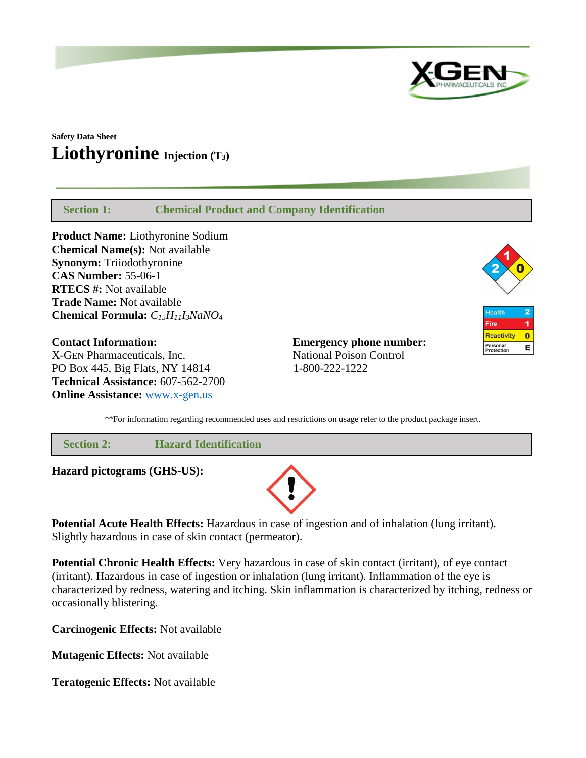

# **Safety Data Sheet Liothyronine Injection (T3)**

 **Section 1: Chemical Product and Company Identification**

**Product Name:** Liothyronine Sodium **Chemical Name(s):** Not available **Synonym:** Triiodothyronine **CAS Number:** 55-06-1 **RTECS #:** Not available **Trade Name:** Not available **Chemical Formula:** *C15H11I3NaNO<sup>4</sup>*

**Contact Information: Emergency phone number:** X-GEN Pharmaceuticals, Inc. National Poison Control PO Box 445, Big Flats, NY 14814 1-800-222-1222 **Technical Assistance:** 607-562-2700 **Online Assistance:** [www.x-gen.us](http://www.x-gen.us/)



| <b>Health</b>          |  |
|------------------------|--|
| Fire                   |  |
| <b>Reactivity</b>      |  |
| Personal<br>Protection |  |

\*\*For information regarding recommended uses and restrictions on usage refer to the product package insert.

 **Section 2: Hazard Identification**

**Hazard pictograms (GHS-US):**



**Potential Acute Health Effects:** Hazardous in case of ingestion and of inhalation (lung irritant). Slightly hazardous in case of skin contact (permeator).

**Potential Chronic Health Effects:** Very hazardous in case of skin contact (irritant), of eye contact (irritant). Hazardous in case of ingestion or inhalation (lung irritant). Inflammation of the eye is characterized by redness, watering and itching. Skin inflammation is characterized by itching, redness or occasionally blistering.

**Carcinogenic Effects:** Not available

**Mutagenic Effects:** Not available

**Teratogenic Effects:** Not available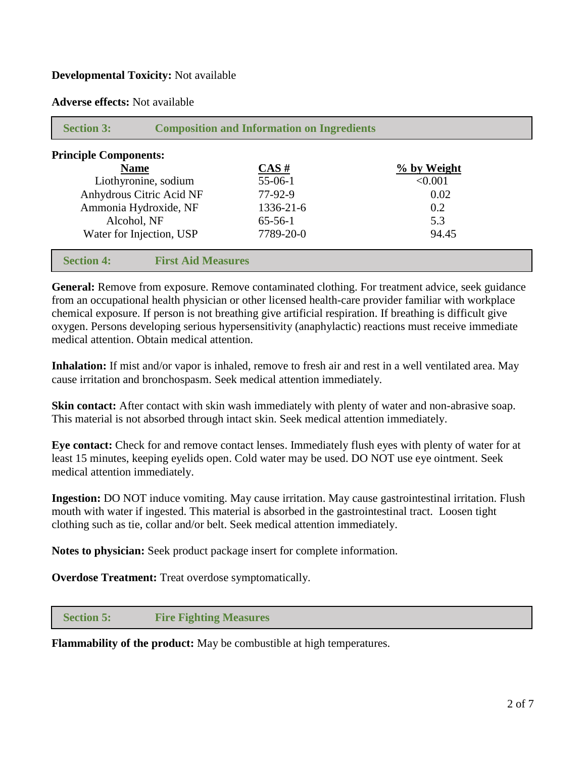## **Developmental Toxicity:** Not available

**Adverse effects:** Not available

| <b>Principle Components:</b> |                           |             |
|------------------------------|---------------------------|-------------|
| <b>Name</b>                  | $\overline{\text{CAS H}}$ | % by Weight |
| Liothyronine, sodium         | $55-06-1$                 | < 0.001     |
| Anhydrous Citric Acid NF     | $77-92-9$                 | 0.02        |
| Ammonia Hydroxide, NF        | 1336-21-6                 | 0.2         |
| Alcohol, NF                  | $65 - 56 - 1$             | 5.3         |
| Water for Injection, USP     | 7789-20-0                 | 94.45       |

**General:** Remove from exposure. Remove contaminated clothing. For treatment advice, seek guidance from an occupational health physician or other licensed health-care provider familiar with workplace chemical exposure. If person is not breathing give artificial respiration. If breathing is difficult give oxygen. Persons developing serious hypersensitivity (anaphylactic) reactions must receive immediate medical attention. Obtain medical attention.

**Inhalation:** If mist and/or vapor is inhaled, remove to fresh air and rest in a well ventilated area. May cause irritation and bronchospasm. Seek medical attention immediately.

**Skin contact:** After contact with skin wash immediately with plenty of water and non-abrasive soap. This material is not absorbed through intact skin. Seek medical attention immediately.

**Eye contact:** Check for and remove contact lenses. Immediately flush eyes with plenty of water for at least 15 minutes, keeping eyelids open. Cold water may be used. DO NOT use eye ointment. Seek medical attention immediately.

**Ingestion:** DO NOT induce vomiting. May cause irritation. May cause gastrointestinal irritation. Flush mouth with water if ingested. This material is absorbed in the gastrointestinal tract. Loosen tight clothing such as tie, collar and/or belt. Seek medical attention immediately.

**Notes to physician:** Seek product package insert for complete information.

**Overdose Treatment:** Treat overdose symptomatically.

### **Section 5: Fire Fighting Measures**

**Flammability of the product:** May be combustible at high temperatures.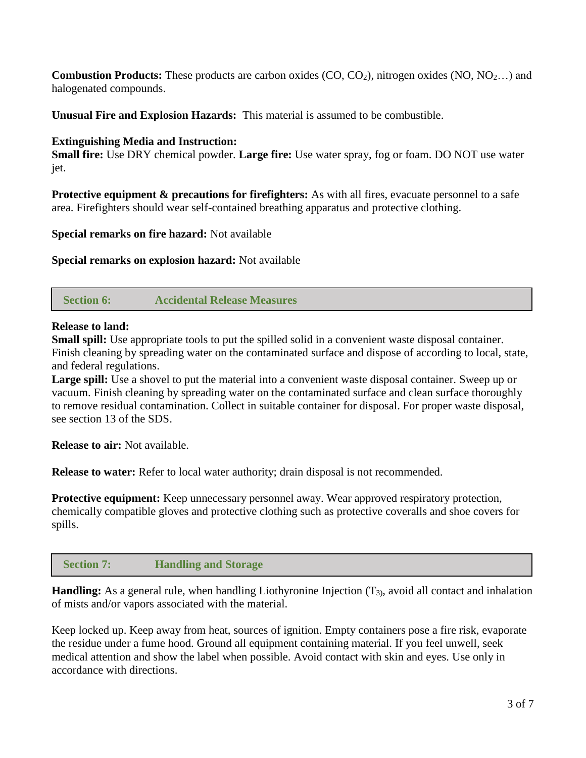**Combustion Products:** These products are carbon oxides (CO, CO<sub>2</sub>), nitrogen oxides (NO, NO<sub>2...</sub>) and halogenated compounds.

**Unusual Fire and Explosion Hazards:** This material is assumed to be combustible.

## **Extinguishing Media and Instruction:**

**Small fire:** Use DRY chemical powder. **Large fire:** Use water spray, fog or foam. DO NOT use water jet.

**Protective equipment & precautions for firefighters:** As with all fires, evacuate personnel to a safe area. Firefighters should wear self-contained breathing apparatus and protective clothing.

**Special remarks on fire hazard:** Not available

**Special remarks on explosion hazard:** Not available

 **Section 6: Accidental Release Measures**

### **Release to land:**

**Small spill:** Use appropriate tools to put the spilled solid in a convenient waste disposal container. Finish cleaning by spreading water on the contaminated surface and dispose of according to local, state, and federal regulations.

**Large spill:** Use a shovel to put the material into a convenient waste disposal container. Sweep up or vacuum. Finish cleaning by spreading water on the contaminated surface and clean surface thoroughly to remove residual contamination. Collect in suitable container for disposal. For proper waste disposal, see section 13 of the SDS.

**Release to air:** Not available.

**Release to water:** Refer to local water authority; drain disposal is not recommended.

**Protective equipment:** Keep unnecessary personnel away. Wear approved respiratory protection, chemically compatible gloves and protective clothing such as protective coveralls and shoe covers for spills.

 **Section 7: Handling and Storage**

**Handling:** As a general rule, when handling Liothyronine Injection (T<sub>3)</sub>, avoid all contact and inhalation of mists and/or vapors associated with the material.

Keep locked up. Keep away from heat, sources of ignition. Empty containers pose a fire risk, evaporate the residue under a fume hood. Ground all equipment containing material. If you feel unwell, seek medical attention and show the label when possible. Avoid contact with skin and eyes. Use only in accordance with directions.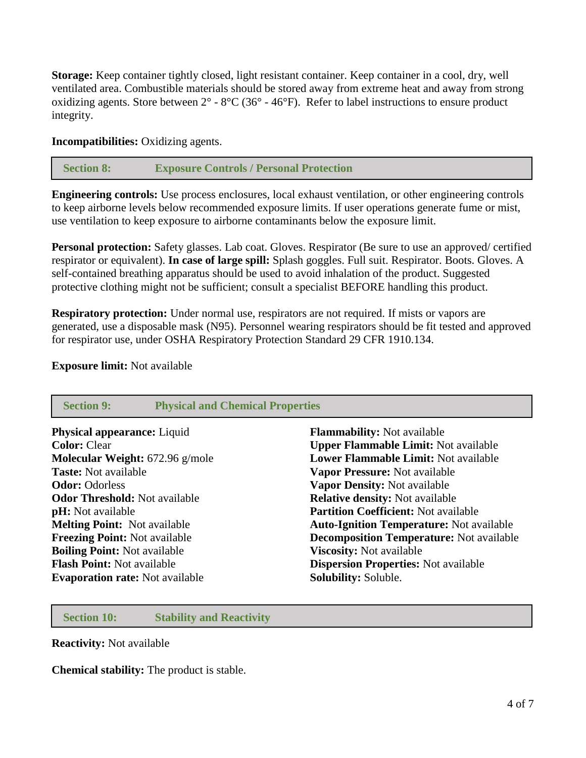**Storage:** Keep container tightly closed, light resistant container. Keep container in a cool, dry, well ventilated area. Combustible materials should be stored away from extreme heat and away from strong oxidizing agents. Store between  $2^{\circ}$  -  $8^{\circ}$ C (36 $^{\circ}$  - 46 $^{\circ}$ F). Refer to label instructions to ensure product integrity.

**Incompatibilities:** Oxidizing agents.

## **Section 8: Exposure Controls / Personal Protection**

**Engineering controls:** Use process enclosures, local exhaust ventilation, or other engineering controls to keep airborne levels below recommended exposure limits. If user operations generate fume or mist, use ventilation to keep exposure to airborne contaminants below the exposure limit.

**Personal protection:** Safety glasses. Lab coat. Gloves. Respirator (Be sure to use an approved/ certified respirator or equivalent). **In case of large spill:** Splash goggles. Full suit. Respirator. Boots. Gloves. A self-contained breathing apparatus should be used to avoid inhalation of the product. Suggested protective clothing might not be sufficient; consult a specialist BEFORE handling this product.

**Respiratory protection:** Under normal use, respirators are not required. If mists or vapors are generated, use a disposable mask (N95). Personnel wearing respirators should be fit tested and approved for respirator use, under OSHA Respiratory Protection Standard 29 CFR 1910.134.

#### **Exposure limit:** Not available

| <b>Section 9:</b><br><b>Physical and Chemical Properties</b> |                                                 |
|--------------------------------------------------------------|-------------------------------------------------|
| <b>Physical appearance:</b> Liquid                           | <b>Flammability:</b> Not available              |
| <b>Color: Clear</b>                                          | <b>Upper Flammable Limit: Not available</b>     |
| Molecular Weight: 672.96 g/mole                              | <b>Lower Flammable Limit: Not available</b>     |
| <b>Taste:</b> Not available                                  | Vapor Pressure: Not available                   |
| <b>Odor: Odorless</b>                                        | Vapor Density: Not available                    |
| <b>Odor Threshold:</b> Not available                         | <b>Relative density:</b> Not available          |
| <b>pH</b> : Not available                                    | <b>Partition Coefficient: Not available</b>     |
| <b>Melting Point:</b> Not available                          | <b>Auto-Ignition Temperature:</b> Not available |
| <b>Freezing Point: Not available</b>                         | <b>Decomposition Temperature:</b> Not available |
| <b>Boiling Point: Not available</b>                          | <b>Viscosity:</b> Not available                 |
| <b>Flash Point:</b> Not available                            | <b>Dispersion Properties:</b> Not available     |
| <b>Evaporation rate:</b> Not available                       | Solubility: Soluble.                            |

 **Section 10: Stability and Reactivity**

**Reactivity:** Not available

**Chemical stability:** The product is stable.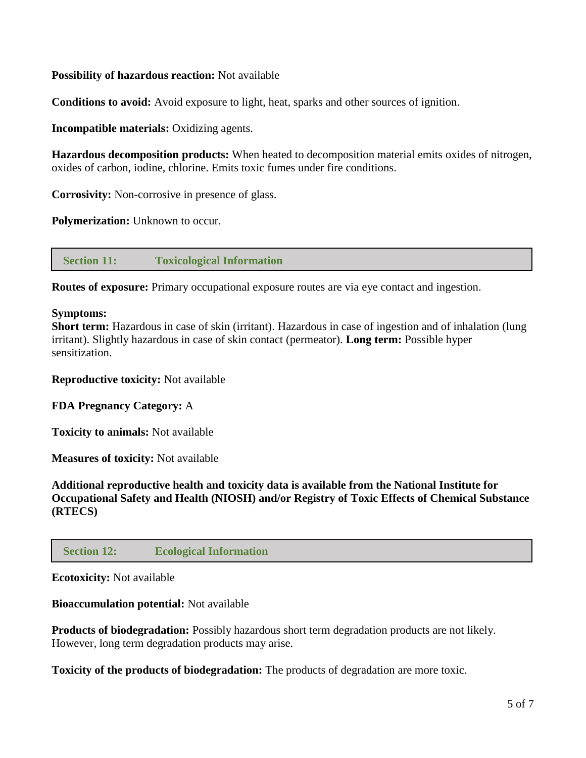## **Possibility of hazardous reaction:** Not available

**Conditions to avoid:** Avoid exposure to light, heat, sparks and other sources of ignition.

**Incompatible materials:** Oxidizing agents.

**Hazardous decomposition products:** When heated to decomposition material emits oxides of nitrogen, oxides of carbon, iodine, chlorine. Emits toxic fumes under fire conditions.

**Corrosivity:** Non-corrosive in presence of glass.

**Polymerization:** Unknown to occur.

 **Section 11: Toxicological Information**

**Routes of exposure:** Primary occupational exposure routes are via eye contact and ingestion.

### **Symptoms:**

**Short term:** Hazardous in case of skin (irritant). Hazardous in case of ingestion and of inhalation (lung irritant). Slightly hazardous in case of skin contact (permeator). **Long term:** Possible hyper sensitization.

**Reproductive toxicity:** Not available

### **FDA Pregnancy Category:** A

**Toxicity to animals:** Not available

**Measures of toxicity:** Not available

**Additional reproductive health and toxicity data is available from the National Institute for Occupational Safety and Health (NIOSH) and/or Registry of Toxic Effects of Chemical Substance (RTECS)**

### **Section 12: Ecological Information**

#### **Ecotoxicity:** Not available

### **Bioaccumulation potential:** Not available

**Products of biodegradation:** Possibly hazardous short term degradation products are not likely. However, long term degradation products may arise.

**Toxicity of the products of biodegradation:** The products of degradation are more toxic.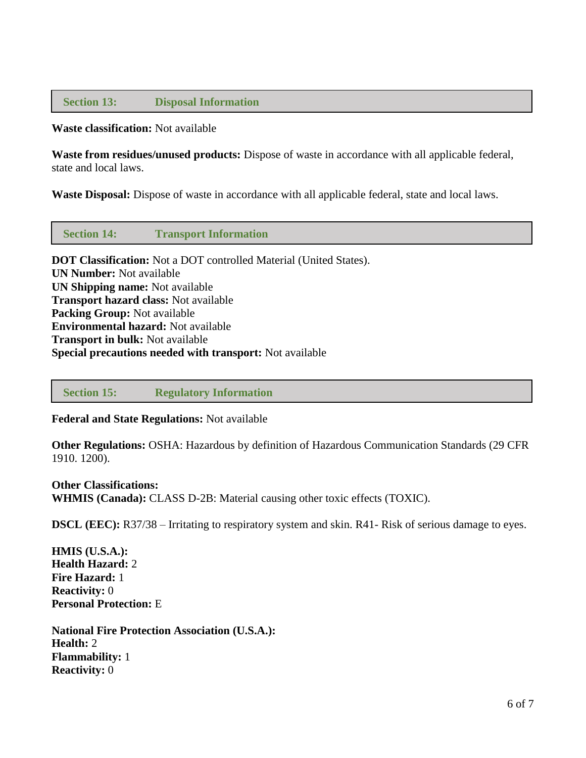## **Section 13: Disposal Information**

### **Waste classification:** Not available

**Waste from residues/unused products:** Dispose of waste in accordance with all applicable federal, state and local laws.

**Waste Disposal:** Dispose of waste in accordance with all applicable federal, state and local laws.

 **Section 14: Transport Information**

**DOT Classification:** Not a DOT controlled Material (United States). **UN Number:** Not available **UN Shipping name:** Not available **Transport hazard class:** Not available **Packing Group:** Not available **Environmental hazard:** Not available **Transport in bulk:** Not available **Special precautions needed with transport:** Not available

 **Section 15: Regulatory Information**

**Federal and State Regulations:** Not available

**Other Regulations:** OSHA: Hazardous by definition of Hazardous Communication Standards (29 CFR 1910. 1200).

# **Other Classifications: WHMIS (Canada):** CLASS D-2B: Material causing other toxic effects (TOXIC).

**DSCL (EEC):** R37/38 – Irritating to respiratory system and skin. R41- Risk of serious damage to eyes.

**HMIS (U.S.A.): Health Hazard:** 2 **Fire Hazard:** 1 **Reactivity:** 0 **Personal Protection:** E

**National Fire Protection Association (U.S.A.): Health:** 2 **Flammability:** 1 **Reactivity:** 0